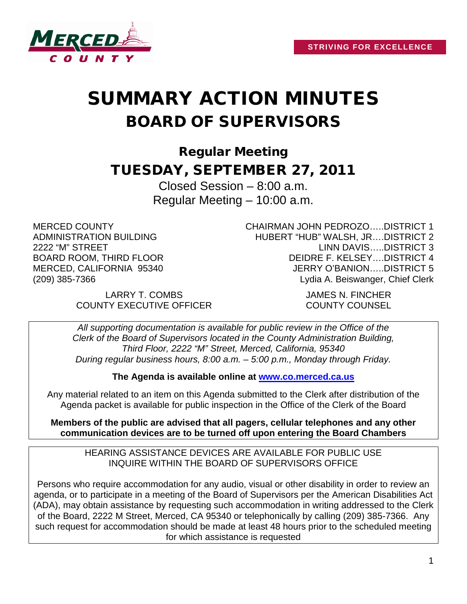

# SUMMARY ACTION MINUTES BOARD OF SUPERVISORS

Regular Meeting TUESDAY, SEPTEMBER 27, 2011

> Closed Session – 8:00 a.m. Regular Meeting – 10:00 a.m.

MERCED COUNTY ADMINISTRATION BUILDING 2222 "M" STREET BOARD ROOM, THIRD FLOOR MERCED, CALIFORNIA 95340 (209) 385-7366

CHAIRMAN JOHN PEDROZO…..DISTRICT 1 HUBERT "HUB" WALSH, JR….DISTRICT 2 LINN DAVIS…..DISTRICT 3 DEIDRE F. KELSEY….DISTRICT 4 JERRY O'BANION…..DISTRICT 5 Lydia A. Beiswanger, Chief Clerk

LARRY T. COMBS JAMES N. FINCHER COUNTY EXECUTIVE OFFICER COUNTY COUNSEL

*All supporting documentation is available for public review in the Office of the Clerk of the Board of Supervisors located in the County Administration Building, Third Floor, 2222 "M" Street, Merced, California, 95340 During regular business hours, 8:00 a.m. – 5:00 p.m., Monday through Friday.*

**The Agenda is available online at [www.co.merced.ca.us](http://www.co.merced.ca.us/)**

Any material related to an item on this Agenda submitted to the Clerk after distribution of the Agenda packet is available for public inspection in the Office of the Clerk of the Board

**Members of the public are advised that all pagers, cellular telephones and any other communication devices are to be turned off upon entering the Board Chambers**

HEARING ASSISTANCE DEVICES ARE AVAILABLE FOR PUBLIC USE INQUIRE WITHIN THE BOARD OF SUPERVISORS OFFICE

Persons who require accommodation for any audio, visual or other disability in order to review an agenda, or to participate in a meeting of the Board of Supervisors per the American Disabilities Act (ADA), may obtain assistance by requesting such accommodation in writing addressed to the Clerk of the Board, 2222 M Street, Merced, CA 95340 or telephonically by calling (209) 385-7366. Any such request for accommodation should be made at least 48 hours prior to the scheduled meeting for which assistance is requested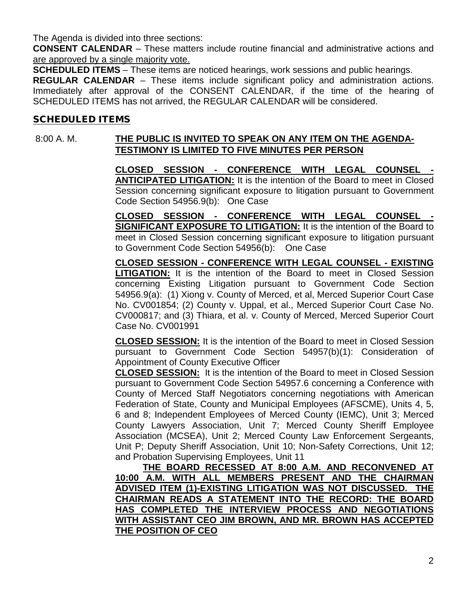The Agenda is divided into three sections:

**CONSENT CALENDAR** – These matters include routine financial and administrative actions and are approved by a single majority vote.

**SCHEDULED ITEMS** – These items are noticed hearings, work sessions and public hearings.

**REGULAR CALENDAR** – These items include significant policy and administration actions. Immediately after approval of the CONSENT CALENDAR, if the time of the hearing of SCHEDULED ITEMS has not arrived, the REGULAR CALENDAR will be considered.

## SCHEDULED ITEMS

# 8:00 A. M. **THE PUBLIC IS INVITED TO SPEAK ON ANY ITEM ON THE AGENDA-TESTIMONY IS LIMITED TO FIVE MINUTES PER PERSON**

**CLOSED SESSION - CONFERENCE WITH LEGAL COUNSEL - ANTICIPATED LITIGATION:** It is the intention of the Board to meet in Closed Session concerning significant exposure to litigation pursuant to Government Code Section 54956.9(b): One Case

**CLOSED SESSION - CONFERENCE WITH LEGAL COUNSEL - SIGNIFICANT EXPOSURE TO LITIGATION:** It is the intention of the Board to meet in Closed Session concerning significant exposure to litigation pursuant to Government Code Section 54956(b): One Case

**CLOSED SESSION - CONFERENCE WITH LEGAL COUNSEL - EXISTING LITIGATION:** It is the intention of the Board to meet in Closed Session concerning Existing Litigation pursuant to Government Code Section 54956.9(a): (1) Xiong v. County of Merced, et al, Merced Superior Court Case No. CV001854; (2) County v. Uppal, et al., Merced Superior Court Case No. CV000817; and (3) Thiara, et al. v. County of Merced, Merced Superior Court Case No. CV001991

**CLOSED SESSION:** It is the intention of the Board to meet in Closed Session pursuant to Government Code Section 54957(b)(1): Consideration of Appointment of County Executive Officer

**CLOSED SESSION:** It is the intention of the Board to meet in Closed Session pursuant to Government Code Section 54957.6 concerning a Conference with County of Merced Staff Negotiators concerning negotiations with American Federation of State, County and Municipal Employees (AFSCME), Units 4, 5, 6 and 8; Independent Employees of Merced County (IEMC), Unit 3; Merced County Lawyers Association, Unit 7; Merced County Sheriff Employee Association (MCSEA), Unit 2; Merced County Law Enforcement Sergeants, Unit P; Deputy Sheriff Association, Unit 10; Non-Safety Corrections, Unit 12; and Probation Supervising Employees, Unit 11

**THE BOARD RECESSED AT 8:00 A.M. AND RECONVENED AT 10:00 A.M. WITH ALL MEMBERS PRESENT AND THE CHAIRMAN ADVISED ITEM (1)-EXISTING LITIGATION WAS NOT DISCUSSED. THE CHAIRMAN READS A STATEMENT INTO THE RECORD: THE BOARD HAS COMPLETED THE INTERVIEW PROCESS AND NEGOTIATIONS WITH ASSISTANT CEO JIM BROWN, AND MR. BROWN HAS ACCEPTED THE POSITION OF CEO**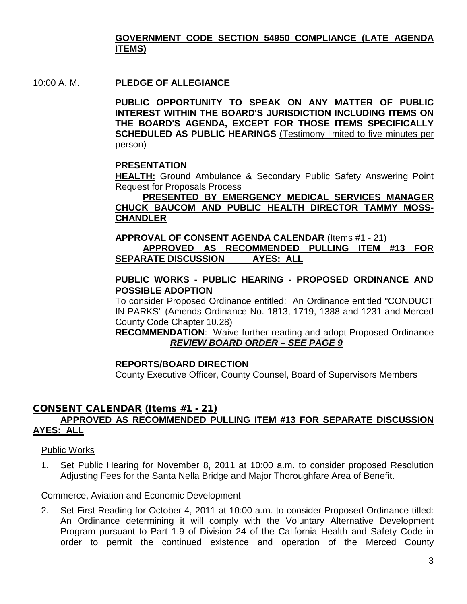# **GOVERNMENT CODE SECTION 54950 COMPLIANCE (LATE AGENDA ITEMS)**

10:00 A. M. **PLEDGE OF ALLEGIANCE**

**PUBLIC OPPORTUNITY TO SPEAK ON ANY MATTER OF PUBLIC INTEREST WITHIN THE BOARD'S JURISDICTION INCLUDING ITEMS ON THE BOARD'S AGENDA, EXCEPT FOR THOSE ITEMS SPECIFICALLY SCHEDULED AS PUBLIC HEARINGS** (Testimony limited to five minutes per person)

#### **PRESENTATION**

**HEALTH:** Ground Ambulance & Secondary Public Safety Answering Point Request for Proposals Process

## **PRESENTED BY EMERGENCY MEDICAL SERVICES MANAGER CHUCK BAUCOM AND PUBLIC HEALTH DIRECTOR TAMMY MOSS-CHANDLER**

#### **APPROVAL OF CONSENT AGENDA CALENDAR** (Items #1 - 21) **APPROVED AS RECOMMENDED PULLING ITEM #13 FOR SEPARATE DISCUSSION AYES: ALL**

#### **PUBLIC WORKS - PUBLIC HEARING - PROPOSED ORDINANCE AND POSSIBLE ADOPTION**

To consider Proposed Ordinance entitled: An Ordinance entitled "CONDUCT IN PARKS" (Amends Ordinance No. 1813, 1719, 1388 and 1231 and Merced County Code Chapter 10.28)

**RECOMMENDATION**: Waive further reading and adopt Proposed Ordinance *REVIEW BOARD ORDER – SEE PAGE 9*

#### **REPORTS/BOARD DIRECTION**

County Executive Officer, County Counsel, Board of Supervisors Members

#### CONSENT CALENDAR (Items #1 - 21) **APPROVED AS RECOMMENDED PULLING ITEM #13 FOR SEPARATE DISCUSSION AYES: ALL**

#### Public Works

1. Set Public Hearing for November 8, 2011 at 10:00 a.m. to consider proposed Resolution Adjusting Fees for the Santa Nella Bridge and Major Thoroughfare Area of Benefit.

#### Commerce, Aviation and Economic Development

2. Set First Reading for October 4, 2011 at 10:00 a.m. to consider Proposed Ordinance titled: An Ordinance determining it will comply with the Voluntary Alternative Development Program pursuant to Part 1.9 of Division 24 of the California Health and Safety Code in order to permit the continued existence and operation of the Merced County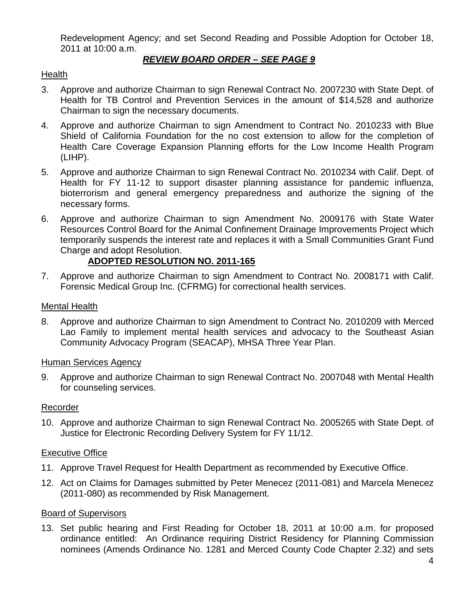Redevelopment Agency; and set Second Reading and Possible Adoption for October 18, 2011 at 10:00 a.m.

# *REVIEW BOARD ORDER – SEE PAGE 9*

## Health

- 3. Approve and authorize Chairman to sign Renewal Contract No. 2007230 with State Dept. of Health for TB Control and Prevention Services in the amount of \$14,528 and authorize Chairman to sign the necessary documents.
- 4. Approve and authorize Chairman to sign Amendment to Contract No. 2010233 with Blue Shield of California Foundation for the no cost extension to allow for the completion of Health Care Coverage Expansion Planning efforts for the Low Income Health Program (LIHP).
- 5. Approve and authorize Chairman to sign Renewal Contract No. 2010234 with Calif. Dept. of Health for FY 11-12 to support disaster planning assistance for pandemic influenza, bioterrorism and general emergency preparedness and authorize the signing of the necessary forms.
- 6. Approve and authorize Chairman to sign Amendment No. 2009176 with State Water Resources Control Board for the Animal Confinement Drainage Improvements Project which temporarily suspends the interest rate and replaces it with a Small Communities Grant Fund Charge and adopt Resolution.

# **ADOPTED RESOLUTION NO. 2011-165**

7. Approve and authorize Chairman to sign Amendment to Contract No. 2008171 with Calif. Forensic Medical Group Inc. (CFRMG) for correctional health services.

## Mental Health

8. Approve and authorize Chairman to sign Amendment to Contract No. 2010209 with Merced Lao Family to implement mental health services and advocacy to the Southeast Asian Community Advocacy Program (SEACAP), MHSA Three Year Plan.

## Human Services Agency

9. Approve and authorize Chairman to sign Renewal Contract No. 2007048 with Mental Health for counseling services.

## Recorder

10. Approve and authorize Chairman to sign Renewal Contract No. 2005265 with State Dept. of Justice for Electronic Recording Delivery System for FY 11/12.

## Executive Office

- 11. Approve Travel Request for Health Department as recommended by Executive Office.
- 12. Act on Claims for Damages submitted by Peter Menecez (2011-081) and Marcela Menecez (2011-080) as recommended by Risk Management.

# Board of Supervisors

13. Set public hearing and First Reading for October 18, 2011 at 10:00 a.m. for proposed ordinance entitled: An Ordinance requiring District Residency for Planning Commission nominees (Amends Ordinance No. 1281 and Merced County Code Chapter 2.32) and sets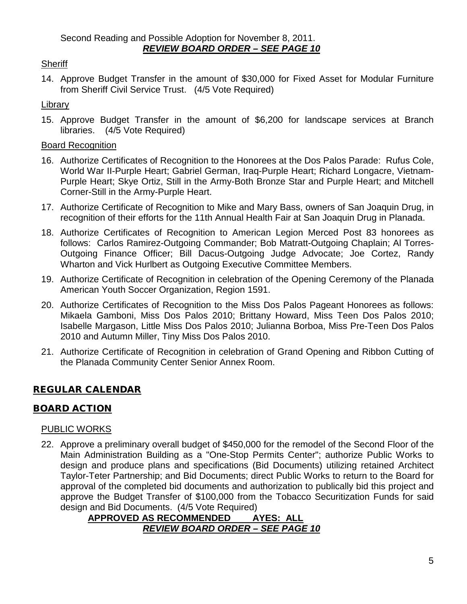# **Sheriff**

14. Approve Budget Transfer in the amount of \$30,000 for Fixed Asset for Modular Furniture from Sheriff Civil Service Trust. (4/5 Vote Required)

## Library

15. Approve Budget Transfer in the amount of \$6,200 for landscape services at Branch libraries. (4/5 Vote Required)

## Board Recognition

- 16. Authorize Certificates of Recognition to the Honorees at the Dos Palos Parade: Rufus Cole, World War II-Purple Heart; Gabriel German, Iraq-Purple Heart; Richard Longacre, Vietnam-Purple Heart; Skye Ortiz, Still in the Army-Both Bronze Star and Purple Heart; and Mitchell Corner-Still in the Army-Purple Heart.
- 17. Authorize Certificate of Recognition to Mike and Mary Bass, owners of San Joaquin Drug, in recognition of their efforts for the 11th Annual Health Fair at San Joaquin Drug in Planada.
- 18. Authorize Certificates of Recognition to American Legion Merced Post 83 honorees as follows: Carlos Ramirez-Outgoing Commander; Bob Matratt-Outgoing Chaplain; Al Torres-Outgoing Finance Officer; Bill Dacus-Outgoing Judge Advocate; Joe Cortez, Randy Wharton and Vick Hurlbert as Outgoing Executive Committee Members.
- 19. Authorize Certificate of Recognition in celebration of the Opening Ceremony of the Planada American Youth Soccer Organization, Region 1591.
- 20. Authorize Certificates of Recognition to the Miss Dos Palos Pageant Honorees as follows: Mikaela Gamboni, Miss Dos Palos 2010; Brittany Howard, Miss Teen Dos Palos 2010; Isabelle Margason, Little Miss Dos Palos 2010; Julianna Borboa, Miss Pre-Teen Dos Palos 2010 and Autumn Miller, Tiny Miss Dos Palos 2010.
- 21. Authorize Certificate of Recognition in celebration of Grand Opening and Ribbon Cutting of the Planada Community Center Senior Annex Room.

# REGULAR CALENDAR

# BOARD ACTION

# PUBLIC WORKS

22. Approve a preliminary overall budget of \$450,000 for the remodel of the Second Floor of the Main Administration Building as a "One-Stop Permits Center"; authorize Public Works to design and produce plans and specifications (Bid Documents) utilizing retained Architect Taylor-Teter Partnership; and Bid Documents; direct Public Works to return to the Board for approval of the completed bid documents and authorization to publically bid this project and approve the Budget Transfer of \$100,000 from the Tobacco Securitization Funds for said design and Bid Documents. (4/5 Vote Required)

## **APPROVED AS RECOMMENDED AYES: ALL** *REVIEW BOARD ORDER – SEE PAGE 10*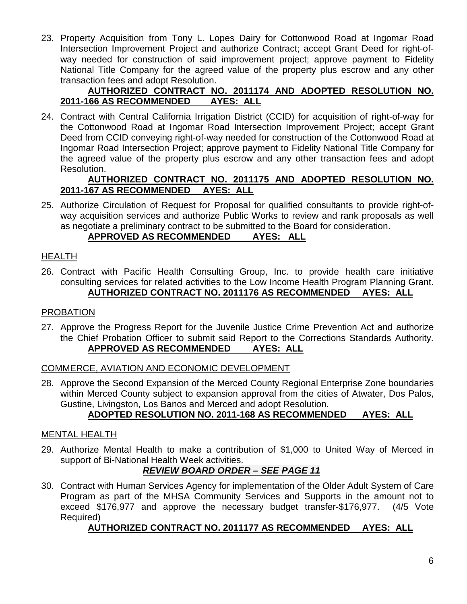23. Property Acquisition from Tony L. Lopes Dairy for Cottonwood Road at Ingomar Road Intersection Improvement Project and authorize Contract; accept Grant Deed for right-ofway needed for construction of said improvement project; approve payment to Fidelity National Title Company for the agreed value of the property plus escrow and any other transaction fees and adopt Resolution.

## **AUTHORIZED CONTRACT NO. 2011174 AND ADOPTED RESOLUTION NO. 2011-166 AS RECOMMENDED AYES: ALL**

24. Contract with Central California Irrigation District (CCID) for acquisition of right-of-way for the Cottonwood Road at Ingomar Road Intersection Improvement Project; accept Grant Deed from CCID conveying right-of-way needed for construction of the Cottonwood Road at Ingomar Road Intersection Project; approve payment to Fidelity National Title Company for the agreed value of the property plus escrow and any other transaction fees and adopt Resolution.

## **AUTHORIZED CONTRACT NO. 2011175 AND ADOPTED RESOLUTION NO. 2011-167 AS RECOMMENDED AYES: ALL**

25. Authorize Circulation of Request for Proposal for qualified consultants to provide right-ofway acquisition services and authorize Public Works to review and rank proposals as well as negotiate a preliminary contract to be submitted to the Board for consideration.

# **APPROVED AS RECOMMENDED AYES: ALL**

# HEALTH

26. Contract with Pacific Health Consulting Group, Inc. to provide health care initiative consulting services for related activities to the Low Income Health Program Planning Grant. **AUTHORIZED CONTRACT NO. 2011176 AS RECOMMENDED AYES: ALL** 

# PROBATION

27. Approve the Progress Report for the Juvenile Justice Crime Prevention Act and authorize the Chief Probation Officer to submit said Report to the Corrections Standards Authority. **APPROVED AS RECOMMENDED AYES: ALL**

# COMMERCE, AVIATION AND ECONOMIC DEVELOPMENT

28. Approve the Second Expansion of the Merced County Regional Enterprise Zone boundaries within Merced County subject to expansion approval from the cities of Atwater, Dos Palos, Gustine, Livingston, Los Banos and Merced and adopt Resolution.

# **ADOPTED RESOLUTION NO. 2011-168 AS RECOMMENDED AYES: ALL**

# MENTAL HEALTH

29. Authorize Mental Health to make a contribution of \$1,000 to United Way of Merced in support of Bi-National Health Week activities.

# *REVIEW BOARD ORDER – SEE PAGE 11*

30. Contract with Human Services Agency for implementation of the Older Adult System of Care Program as part of the MHSA Community Services and Supports in the amount not to exceed \$176,977 and approve the necessary budget transfer-\$176,977. (4/5 Vote Required)

# **AUTHORIZED CONTRACT NO. 2011177 AS RECOMMENDED AYES: ALL**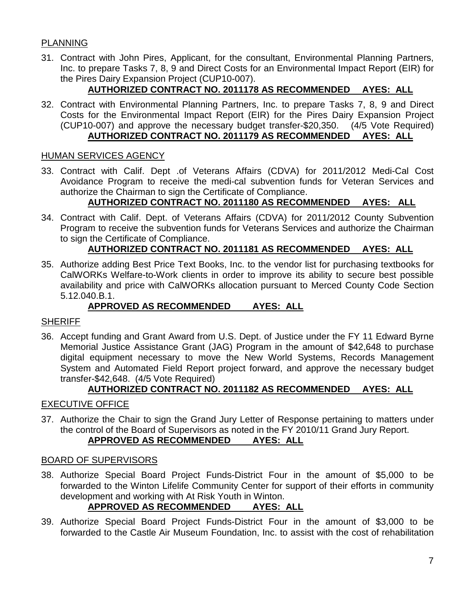## PLANNING

31. Contract with John Pires, Applicant, for the consultant, Environmental Planning Partners, Inc. to prepare Tasks 7, 8, 9 and Direct Costs for an Environmental Impact Report (EIR) for the Pires Dairy Expansion Project (CUP10-007).

# **AUTHORIZED CONTRACT NO. 2011178 AS RECOMMENDED AYES: ALL**

32. Contract with Environmental Planning Partners, Inc. to prepare Tasks 7, 8, 9 and Direct Costs for the Environmental Impact Report (EIR) for the Pires Dairy Expansion Project (CUP10-007) and approve the necessary budget transfer-\$20,350. (4/5 Vote Required) **AUTHORIZED CONTRACT NO. 2011179 AS RECOMMENDED AYES: ALL**

## HUMAN SERVICES AGENCY

33. Contract with Calif. Dept .of Veterans Affairs (CDVA) for 2011/2012 Medi-Cal Cost Avoidance Program to receive the medi-cal subvention funds for Veteran Services and authorize the Chairman to sign the Certificate of Compliance.

# **AUTHORIZED CONTRACT NO. 2011180 AS RECOMMENDED AYES: ALL**

34. Contract with Calif. Dept. of Veterans Affairs (CDVA) for 2011/2012 County Subvention Program to receive the subvention funds for Veterans Services and authorize the Chairman to sign the Certificate of Compliance.

# **AUTHORIZED CONTRACT NO. 2011181 AS RECOMMENDED AYES: ALL**

35. Authorize adding Best Price Text Books, Inc. to the vendor list for purchasing textbooks for CalWORKs Welfare-to-Work clients in order to improve its ability to secure best possible availability and price with CalWORKs allocation pursuant to Merced County Code Section 5.12.040.B.1.

# **APPROVED AS RECOMMENDED AYES: ALL**

## **SHERIFF**

36. Accept funding and Grant Award from U.S. Dept. of Justice under the FY 11 Edward Byrne Memorial Justice Assistance Grant (JAG) Program in the amount of \$42,648 to purchase digital equipment necessary to move the New World Systems, Records Management System and Automated Field Report project forward, and approve the necessary budget transfer-\$42,648. (4/5 Vote Required)

## **AUTHORIZED CONTRACT NO. 2011182 AS RECOMMENDED AYES: ALL**

## EXECUTIVE OFFICE

37. Authorize the Chair to sign the Grand Jury Letter of Response pertaining to matters under the control of the Board of Supervisors as noted in the FY 2010/11 Grand Jury Report.

# **APPROVED AS RECOMMENDED AYES: ALL**

## BOARD OF SUPERVISORS

38. Authorize Special Board Project Funds-District Four in the amount of \$5,000 to be forwarded to the Winton Lifelife Community Center for support of their efforts in community development and working with At Risk Youth in Winton.

# **APPROVED AS RECOMMENDED AYES: ALL**

39. Authorize Special Board Project Funds-District Four in the amount of \$3,000 to be forwarded to the Castle Air Museum Foundation, Inc. to assist with the cost of rehabilitation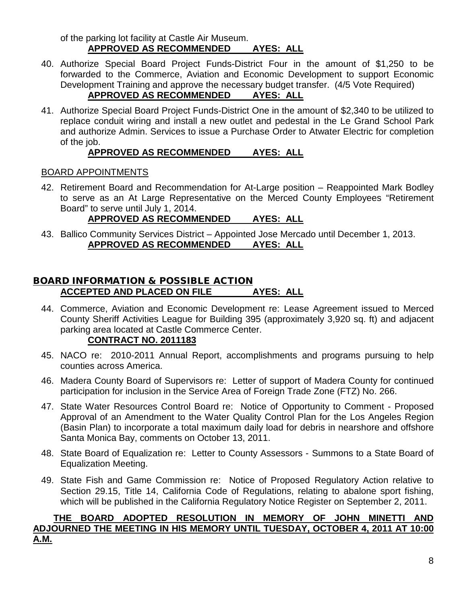of the parking lot facility at Castle Air Museum. **APPROVED AS RECOMMENDED AYES: ALL**

40. Authorize Special Board Project Funds-District Four in the amount of \$1,250 to be forwarded to the Commerce, Aviation and Economic Development to support Economic Development Training and approve the necessary budget transfer. (4/5 Vote Required)

# **APPROVED AS RECOMMENDED AYES: ALL**

41. Authorize Special Board Project Funds-District One in the amount of \$2,340 to be utilized to replace conduit wiring and install a new outlet and pedestal in the Le Grand School Park and authorize Admin. Services to issue a Purchase Order to Atwater Electric for completion of the job.

# **APPROVED AS RECOMMENDED AYES: ALL**

# BOARD APPOINTMENTS

42. Retirement Board and Recommendation for At-Large position – Reappointed Mark Bodley to serve as an At Large Representative on the Merced County Employees "Retirement Board" to serve until July 1, 2014.

# **APPROVED AS RECOMMENDED AYES: ALL**

43. Ballico Community Services District – Appointed Jose Mercado until December 1, 2013. **APPROVED AS RECOMMENDED AYES: ALL**

# BOARD INFORMATION & POSSIBLE ACTION **ACCEPTED AND PLACED ON FILE AYES: ALL**

44. Commerce, Aviation and Economic Development re: Lease Agreement issued to Merced County Sheriff Activities League for Building 395 (approximately 3,920 sq. ft) and adjacent parking area located at Castle Commerce Center.

# **CONTRACT NO. 2011183**

- 45. NACO re: 2010-2011 Annual Report, accomplishments and programs pursuing to help counties across America.
- 46. Madera County Board of Supervisors re: Letter of support of Madera County for continued participation for inclusion in the Service Area of Foreign Trade Zone (FTZ) No. 266.
- 47. State Water Resources Control Board re: Notice of Opportunity to Comment Proposed Approval of an Amendment to the Water Quality Control Plan for the Los Angeles Region (Basin Plan) to incorporate a total maximum daily load for debris in nearshore and offshore Santa Monica Bay, comments on October 13, 2011.
- 48. State Board of Equalization re: Letter to County Assessors Summons to a State Board of Equalization Meeting.
- 49. State Fish and Game Commission re: Notice of Proposed Regulatory Action relative to Section 29.15, Title 14, California Code of Regulations, relating to abalone sport fishing, which will be published in the California Regulatory Notice Register on September 2, 2011.

# **THE BOARD ADOPTED RESOLUTION IN MEMORY OF JOHN MINETTI AND ADJOURNED THE MEETING IN HIS MEMORY UNTIL TUESDAY, OCTOBER 4, 2011 AT 10:00 A.M.**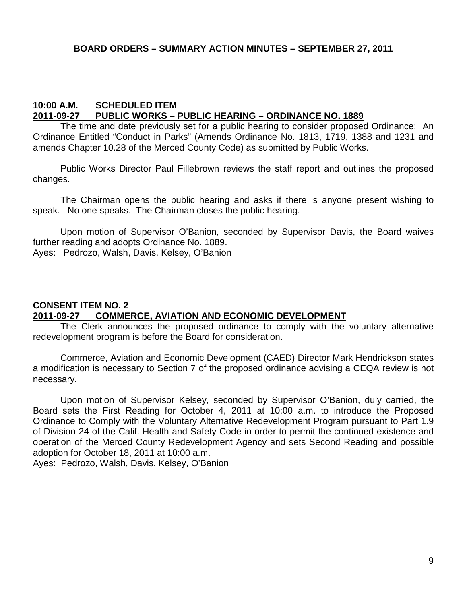#### **BOARD ORDERS – SUMMARY ACTION MINUTES – SEPTEMBER 27, 2011**

#### **10:00 A.M. SCHEDULED ITEM 2011-09-27 PUBLIC WORKS – PUBLIC HEARING – ORDINANCE NO. 1889**

The time and date previously set for a public hearing to consider proposed Ordinance: An Ordinance Entitled "Conduct in Parks" (Amends Ordinance No. 1813, 1719, 1388 and 1231 and amends Chapter 10.28 of the Merced County Code) as submitted by Public Works.

Public Works Director Paul Fillebrown reviews the staff report and outlines the proposed changes.

The Chairman opens the public hearing and asks if there is anyone present wishing to speak. No one speaks. The Chairman closes the public hearing.

Upon motion of Supervisor O'Banion, seconded by Supervisor Davis, the Board waives further reading and adopts Ordinance No. 1889.

Ayes: Pedrozo, Walsh, Davis, Kelsey, O'Banion

#### **CONSENT ITEM NO. 2**

# **2011-09-27 COMMERCE, AVIATION AND ECONOMIC DEVELOPMENT**

The Clerk announces the proposed ordinance to comply with the voluntary alternative redevelopment program is before the Board for consideration.

Commerce, Aviation and Economic Development (CAED) Director Mark Hendrickson states a modification is necessary to Section 7 of the proposed ordinance advising a CEQA review is not necessary.

Upon motion of Supervisor Kelsey, seconded by Supervisor O'Banion, duly carried, the Board sets the First Reading for October 4, 2011 at 10:00 a.m. to introduce the Proposed Ordinance to Comply with the Voluntary Alternative Redevelopment Program pursuant to Part 1.9 of Division 24 of the Calif. Health and Safety Code in order to permit the continued existence and operation of the Merced County Redevelopment Agency and sets Second Reading and possible adoption for October 18, 2011 at 10:00 a.m.

Ayes: Pedrozo, Walsh, Davis, Kelsey, O'Banion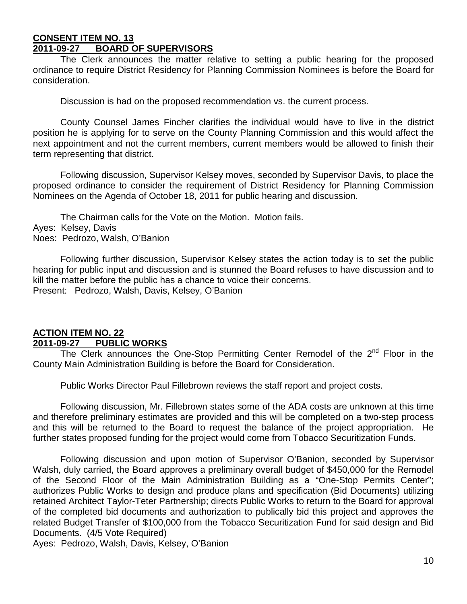#### **CONSENT ITEM NO. 13 2011-09-27 BOARD OF SUPERVISORS**

The Clerk announces the matter relative to setting a public hearing for the proposed ordinance to require District Residency for Planning Commission Nominees is before the Board for consideration.

Discussion is had on the proposed recommendation vs. the current process.

County Counsel James Fincher clarifies the individual would have to live in the district position he is applying for to serve on the County Planning Commission and this would affect the next appointment and not the current members, current members would be allowed to finish their term representing that district.

Following discussion, Supervisor Kelsey moves, seconded by Supervisor Davis, to place the proposed ordinance to consider the requirement of District Residency for Planning Commission Nominees on the Agenda of October 18, 2011 for public hearing and discussion.

The Chairman calls for the Vote on the Motion. Motion fails. Ayes: Kelsey, Davis

Noes: Pedrozo, Walsh, O'Banion

Following further discussion, Supervisor Kelsey states the action today is to set the public hearing for public input and discussion and is stunned the Board refuses to have discussion and to kill the matter before the public has a chance to voice their concerns. Present: Pedrozo, Walsh, Davis, Kelsey, O'Banion

## **ACTION ITEM NO. 22 2011-09-27 PUBLIC WORKS**

The Clerk announces the One-Stop Permitting Center Remodel of the  $2<sup>nd</sup>$  Floor in the County Main Administration Building is before the Board for Consideration.

Public Works Director Paul Fillebrown reviews the staff report and project costs.

Following discussion, Mr. Fillebrown states some of the ADA costs are unknown at this time and therefore preliminary estimates are provided and this will be completed on a two-step process and this will be returned to the Board to request the balance of the project appropriation. He further states proposed funding for the project would come from Tobacco Securitization Funds.

Following discussion and upon motion of Supervisor O'Banion, seconded by Supervisor Walsh, duly carried, the Board approves a preliminary overall budget of \$450,000 for the Remodel of the Second Floor of the Main Administration Building as a "One-Stop Permits Center"; authorizes Public Works to design and produce plans and specification (Bid Documents) utilizing retained Architect Taylor-Teter Partnership; directs Public Works to return to the Board for approval of the completed bid documents and authorization to publically bid this project and approves the related Budget Transfer of \$100,000 from the Tobacco Securitization Fund for said design and Bid Documents. (4/5 Vote Required)

Ayes: Pedrozo, Walsh, Davis, Kelsey, O'Banion